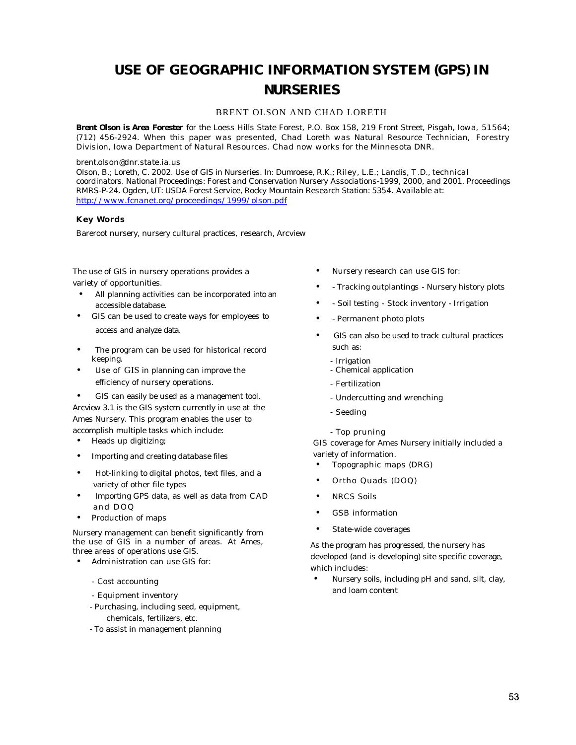## **USE OF GEOGRAPHIC INFORMATION SYSTEM (GPS) IN NURSERIES**

## BRENT OLSON AND CHAD LORETH

*Brent Olson is Area Forester for the Loess Hills State Forest, P.O. Box 158, 219 Front Street, Pisgah, Iowa, 51564; (712) 456-2924. When this paper was presented, Chad Loreth was Natural Resource Technician, Forestry Division, Iowa Department of Natural Resources. Chad now works for the Minnesota DNR.*

## *brent.olson@dnr.state.ia.us*

*Olson, B.; Loreth, C. 2002. Use of GIS in Nurseries. In: Dumroese, R.K.; Riley, L.E.; Landis, T .D., technical coordinators. National Proceedings: Forest and Conservation Nursery Associations-1999, 2000, and 2001. Proceedings RMRS-P-24. Ogden, UT: USDA Forest Service, Rocky Mountain Research Station: 5354. Available at: http://www.fcnanet.org/proceedings/1999/olson.pdf*

## **Key Words**

Bareroot nursery, nursery cultural practices, research, Arcview

The use of GIS in nursery operations provides a variety of opportunities.

- All planning activities can be incorporated into an accessible database.
- GIS can be used to create ways for employees to access and analyze data.
- The program can be used for historical record keeping.
- Use of GIS in planning can improve the efficiency of nursery operations.
- GIS can easily be used as a management tool.

Arcview 3.1 is the GIS system currently in use at the Ames Nursery. This program enables the user to accomplish multiple tasks which include:

- Heads up digitizing;
- Importing and creating database files
- Hot-linking to digital photos, text files, and a variety of other file types
- Importing GPS data, as well as data from CAD and DOQ
- Production of maps

Nursery management can benefit significantly from the use of GIS in a number of areas. At Ames, three areas of operations use GIS.

- Administration can use GIS for:
	- Cost accounting
	- Equipment inventory
	- Purchasing, including seed, equipment, chemicals, fertilizers, etc.
	- To assist in management planning
- Nursery research can use GIS for:
- - Tracking outplantings Nursery history plots
- - Soil testing Stock inventory Irrigation
- - Permanent photo plots
- GIS can also be used to track cultural practices such as:
	- Irrigation
	- Chemical application
	- Fertilization
	- Undercutting and wrenching
	- Seeding
	- Top pruning

GIS coverage for Ames Nursery initially included a variety of information.

- Topographic maps (DRG)
- Ortho Quads (DOQ)
- **NRCS** Soils
- GSB information
- State-wide coverages

As the program has progressed, the nursery has developed (and is developing) site specific coverage, which includes:

• Nursery soils, including pH and sand, silt, clay, and loam content